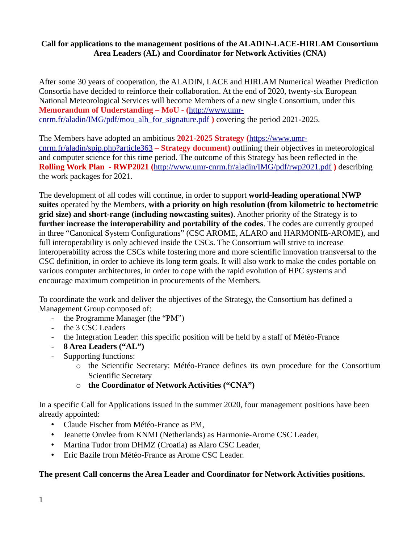#### **Call for applications to the management positions of the ALADIN-LACE-HIRLAM Consortium Area Leaders (AL) and Coordinator for Network Activities (CNA)**

After some 30 years of cooperation, the ALADIN, LACE and HIRLAM Numerical Weather Prediction Consortia have decided to reinforce their collaboration. At the end of 2020, twenty-six European National Meteorological Services will become Members of a new single Consortium, under this **Memorandum of Understanding – MoU - (**[http://www.umr](http://www.umr-cnrm.fr/aladin/IMG/pdf/mou_alh_for_signature.pdf)[cnrm.fr/aladin/IMG/pdf/mou\\_alh\\_for\\_signature.pdf](http://www.umr-cnrm.fr/aladin/IMG/pdf/mou_alh_for_signature.pdf) **)** covering the period 2021-2025.

The Members have adopted an ambitious **2021-2025 Strategy (**[https://www.umr](https://www.umr-cnrm.fr/aladin/spip.php?article363)[cnrm.fr/aladin/spip.php?article363](https://www.umr-cnrm.fr/aladin/spip.php?article363) **– Strategy document)** outlining their objectives in meteorological and computer science for this time period. The outcome of this Strategy has been reflected in the **Rolling Work Plan - RWP2021 (**<http://www.umr-cnrm.fr/aladin/IMG/pdf/rwp2021.pdf> **)** describing the work packages for 2021.

The development of all codes will continue, in order to support **world-leading operational NWP suites** operated by the Members, **with a priority on high resolution (from kilometric to hectometric grid size) and short-range (including nowcasting suites)**. Another priority of the Strategy is to **further increase the interoperability and portability of the codes**. The codes are currently grouped in three "Canonical System Configurations" (CSC AROME, ALARO and HARMONIE-AROME), and full interoperability is only achieved inside the CSCs. The Consortium will strive to increase interoperability across the CSCs while fostering more and more scientific innovation transversal to the CSC definition, in order to achieve its long term goals. It will also work to make the codes portable on various computer architectures, in order to cope with the rapid evolution of HPC systems and encourage maximum competition in procurements of the Members.

To coordinate the work and deliver the objectives of the Strategy, the Consortium has defined a Management Group composed of:

- the Programme Manager (the "PM")
- the 3 CSC Leaders
- the Integration Leader: this specific position will be held by a staff of Météo-France
- **8 Area Leaders ("AL")**
- Supporting functions:
	- o the Scientific Secretary: Météo-France defines its own procedure for the Consortium Scientific Secretary
	- o **the Coordinator of Network Activities ("CNA")**

In a specific Call for Applications issued in the summer 2020, four management positions have been already appointed:

- Claude Fischer from Météo-France as PM,
- Jeanette Onvlee from KNMI (Netherlands) as Harmonie-Arome CSC Leader,
- Martina Tudor from DHMZ (Croatia) as Alaro CSC Leader,
- Eric Bazile from Météo-France as Arome CSC Leader.

# **The present Call concerns the Area Leader and Coordinator for Network Activities positions.**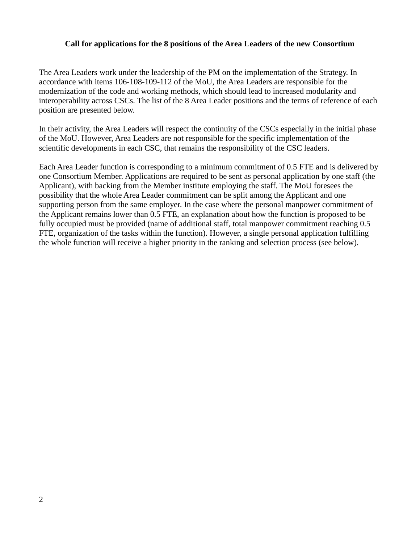#### **Call for applications for the 8 positions of the Area Leaders of the new Consortium**

The Area Leaders work under the leadership of the PM on the implementation of the Strategy. In accordance with items 106-108-109-112 of the MoU, the Area Leaders are responsible for the modernization of the code and working methods, which should lead to increased modularity and interoperability across CSCs. The list of the 8 Area Leader positions and the terms of reference of each position are presented below.

In their activity, the Area Leaders will respect the continuity of the CSCs especially in the initial phase of the MoU. However, Area Leaders are not responsible for the specific implementation of the scientific developments in each CSC, that remains the responsibility of the CSC leaders.

Each Area Leader function is corresponding to a minimum commitment of 0.5 FTE and is delivered by one Consortium Member. Applications are required to be sent as personal application by one staff (the Applicant), with backing from the Member institute employing the staff. The MoU foresees the possibility that the whole Area Leader commitment can be split among the Applicant and one supporting person from the same employer. In the case where the personal manpower commitment of the Applicant remains lower than 0.5 FTE, an explanation about how the function is proposed to be fully occupied must be provided (name of additional staff, total manpower commitment reaching 0.5 FTE, organization of the tasks within the function). However, a single personal application fulfilling the whole function will receive a higher priority in the ranking and selection process (see below).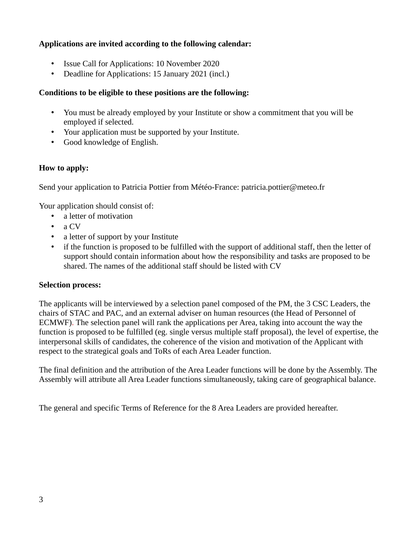# **Applications are invited according to the following calendar:**

- Issue Call for Applications: 10 November 2020
- Deadline for Applications: 15 January 2021 (incl.)

# **Conditions to be eligible to these positions are the following:**

- You must be already employed by your Institute or show a commitment that you will be employed if selected.
- Your application must be supported by your Institute.
- Good knowledge of English.

# **How to apply:**

Send your application to Patricia Pottier from Météo-France: patricia.pottier@meteo.fr

Your application should consist of:

- a letter of motivation
- a CV
- a letter of support by your Institute
- if the function is proposed to be fulfilled with the support of additional staff, then the letter of support should contain information about how the responsibility and tasks are proposed to be shared. The names of the additional staff should be listed with CV

# **Selection process:**

The applicants will be interviewed by a selection panel composed of the PM, the 3 CSC Leaders, the chairs of STAC and PAC, and an external adviser on human resources (the Head of Personnel of ECMWF). The selection panel will rank the applications per Area, taking into account the way the function is proposed to be fulfilled (eg. single versus multiple staff proposal), the level of expertise, the interpersonal skills of candidates, the coherence of the vision and motivation of the Applicant with respect to the strategical goals and ToRs of each Area Leader function.

The final definition and the attribution of the Area Leader functions will be done by the Assembly. The Assembly will attribute all Area Leader functions simultaneously, taking care of geographical balance.

The general and specific Terms of Reference for the 8 Area Leaders are provided hereafter.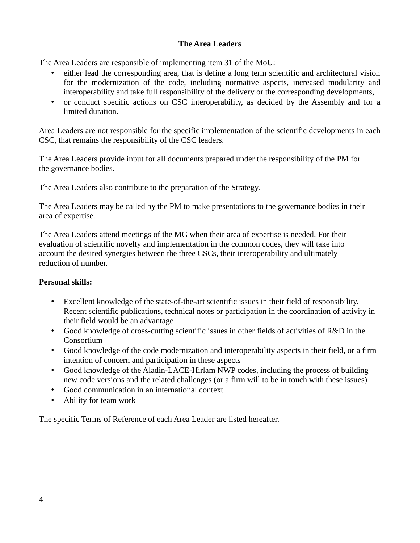# **The Area Leaders**

The Area Leaders are responsible of implementing item 31 of the MoU:

- either lead the corresponding area, that is define a long term scientific and architectural vision for the modernization of the code, including normative aspects, increased modularity and interoperability and take full responsibility of the delivery or the corresponding developments,
- or conduct specific actions on CSC interoperability, as decided by the Assembly and for a limited duration.

Area Leaders are not responsible for the specific implementation of the scientific developments in each CSC, that remains the responsibility of the CSC leaders.

The Area Leaders provide input for all documents prepared under the responsibility of the PM for the governance bodies.

The Area Leaders also contribute to the preparation of the Strategy.

The Area Leaders may be called by the PM to make presentations to the governance bodies in their area of expertise.

The Area Leaders attend meetings of the MG when their area of expertise is needed. For their evaluation of scientific novelty and implementation in the common codes, they will take into account the desired synergies between the three CSCs, their interoperability and ultimately reduction of number.

# **Personal skills:**

- Excellent knowledge of the state-of-the-art scientific issues in their field of responsibility. Recent scientific publications, technical notes or participation in the coordination of activity in their field would be an advantage
- Good knowledge of cross-cutting scientific issues in other fields of activities of R&D in the Consortium
- Good knowledge of the code modernization and interoperability aspects in their field, or a firm intention of concern and participation in these aspects
- Good knowledge of the Aladin-LACE-Hirlam NWP codes, including the process of building new code versions and the related challenges (or a firm will to be in touch with these issues)
- Good communication in an international context
- Ability for team work

The specific Terms of Reference of each Area Leader are listed hereafter.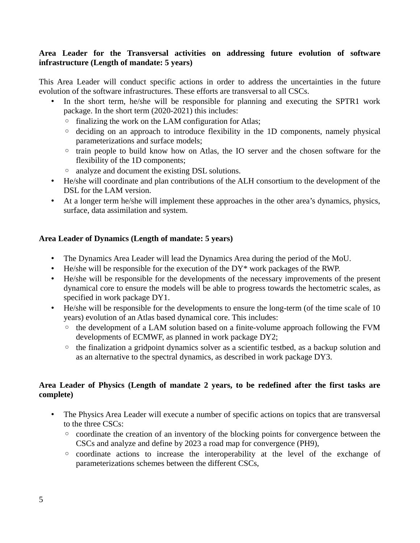# **Area Leader for the Transversal activities on addressing future evolution of software infrastructure (Length of mandate: 5 years)**

This Area Leader will conduct specific actions in order to address the uncertainties in the future evolution of the software infrastructures. These efforts are transversal to all CSCs.

- In the short term, he/she will be responsible for planning and executing the SPTR1 work package. In the short term (2020-2021) this includes:
	- finalizing the work on the LAM configuration for Atlas;
	- deciding on an approach to introduce flexibility in the 1D components, namely physical parameterizations and surface models;
	- train people to build know how on Atlas, the IO server and the chosen software for the flexibility of the 1D components;
	- analyze and document the existing DSL solutions.
- He/she will coordinate and plan contributions of the ALH consortium to the development of the DSL for the LAM version.
- At a longer term he/she will implement these approaches in the other area's dynamics, physics, surface, data assimilation and system.

# **Area Leader of Dynamics (Length of mandate: 5 years)**

- The Dynamics Area Leader will lead the Dynamics Area during the period of the MoU.
- He/she will be responsible for the execution of the DY\* work packages of the RWP.
- He/she will be responsible for the developments of the necessary improvements of the present dynamical core to ensure the models will be able to progress towards the hectometric scales, as specified in work package DY1.
- He/she will be responsible for the developments to ensure the long-term (of the time scale of 10 years) evolution of an Atlas based dynamical core. This includes:
	- the development of a LAM solution based on a finite-volume approach following the FVM developments of ECMWF, as planned in work package DY2;
	- the finalization a gridpoint dynamics solver as a scientific testbed, as a backup solution and as an alternative to the spectral dynamics, as described in work package DY3.

# **Area Leader of Physics (Length of mandate 2 years, to be redefined after the first tasks are complete)**

- The Physics Area Leader will execute a number of specific actions on topics that are transversal to the three CSCs:
	- coordinate the creation of an inventory of the blocking points for convergence between the CSCs and analyze and define by 2023 a road map for convergence (PH9),
	- coordinate actions to increase the interoperability at the level of the exchange of parameterizations schemes between the different CSCs,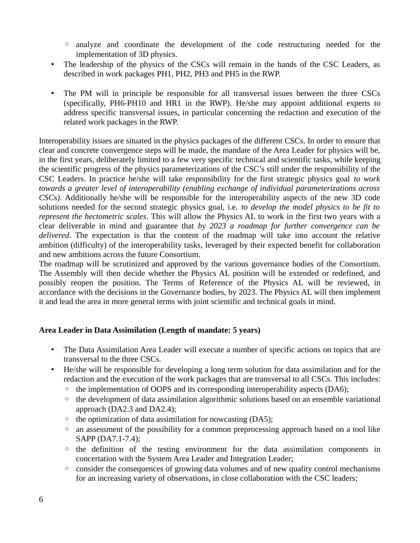- analyze and coordinate the development of the code restructuring needed for the implementation of 3D physics.
- The leadership of the physics of the CSCs will remain in the hands of the CSC Leaders, as described in work packages PH1, PH2, PH3 and PH5 in the RWP.
- The PM will in principle be responsible for all transversal issues between the three CSCs (specifically, PH6-PH10 and HR1 in the RWP). He/she may appoint additional experts to address specific transversal issues, in particular concerning the redaction and execution of the related work packages in the RWP.

Interoperability issues are situated in the physics packages of the different CSCs. In order to ensure that clear and concrete convergence steps will be made, the mandate of the Area Leader for physics will be, in the first years, deliberately limited to a few very specific technical and scientific tasks, while keeping the scientific progress of the physics parameterizations of the CSC's still under the responsibility of the CSC Leaders. In practice he/she will take responsibility for the first strategic physics goal *to work towards a greater level of interoperability (enabling exchange of individual parameterizations across CSCs)*. Additionally he/she will be responsible for the interoperability aspects of the new 3D code solutions needed for the second strategic physics goal, i.e. *to develop the model physics to be fit to represent the hectometric scales*. This will allow the Physics AL to work in the first two years with a clear deliverable in mind and guarantee that *by 2023 a roadmap for further convergence can be delivered*. The expectation is that the content of the roadmap will take into account the relative ambition (difficulty) of the interoperability tasks, leveraged by their expected benefit for collaboration and new ambitions across the future Consortium.

The roadmap will be scrutinized and approved by the various governance bodies of the Consortium. The Assembly will then decide whether the Physics AL position will be extended or redefined, and possibly reopen the position. The Terms of Reference of the Physics AL will be reviewed, in accordance with the decisions in the Governance bodies, by 2023. The Physics AL will then implement it and lead the area in more general terms with joint scientific and technical goals in mind.

# **Area Leader in Data Assimilation (Length of mandate: 5 years)**

- The Data Assimilation Area Leader will execute a number of specific actions on topics that are transversal to the three CSCs.
- He/she will be responsible for developing a long term solution for data assimilation and for the redaction and the execution of the work packages that are transversal to all CSCs. This includes:
	- the implementation of OOPS and its corresponding interoperability aspects (DA6);
	- the development of data assimilation algorithmic solutions based on an ensemble variational approach (DA2.3 and DA2.4);
	- the optimization of data assimilation for nowcasting (DA5);
	- an assessment of the possibility for a common preprocessing approach based on a tool like SAPP (DA7.1-7.4);
	- the definition of the testing environment for the data assimilation components in concertation with the System Area Leader and Integration Leader;
	- consider the consequences of growing data volumes and of new quality control mechanisms for an increasing variety of observations, in close collaboration with the CSC leaders;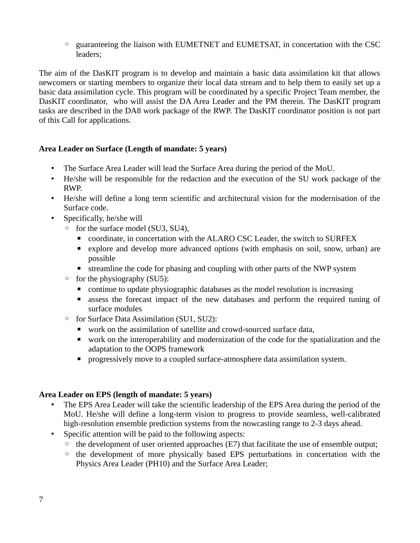◦ guaranteeing the liaison with EUMETNET and EUMETSAT, in concertation with the CSC leaders;

The aim of the DasKIT program is to develop and maintain a basic data assimilation kit that allows newcomers or starting members to organize their local data stream and to help them to easily set up a basic data assimilation cycle. This program will be coordinated by a specific Project Team member, the DasKIT coordinator, who will assist the DA Area Leader and the PM therein. The DasKIT program tasks are described in the DA8 work package of the RWP. The DasKIT coordinator position is not part of this Call for applications.

# **Area Leader on Surface (Length of mandate: 5 years)**

- The Surface Area Leader will lead the Surface Area during the period of the MoU.
- He/she will be responsible for the redaction and the execution of the SU work package of the RWP.
- He/she will define a long term scientific and architectural vision for the modernisation of the Surface code.
- Specifically, he/she will
	- for the surface model (SU3, SU4),
		- coordinate, in concertation with the ALARO CSC Leader, the switch to SURFEX
		- explore and develop more advanced options (with emphasis on soil, snow, urban) are possible
		- **Exercise 1** streamline the code for phasing and coupling with other parts of the NWP system
	- for the physiography (SU5):
		- continue to update physiographic databases as the model resolution is increasing
		- assess the forecast impact of the new databases and perform the required tuning of surface modules
	- for Surface Data Assimilation (SU1, SU2):
		- work on the assimilation of satellite and crowd-sourced surface data,
		- work on the interoperability and modernization of the code for the spatialization and the adaptation to the OOPS framework
		- **•** progressively move to a coupled surface-atmosphere data assimilation system.

# **Area Leader on EPS (length of mandate: 5 years)**

- The EPS Area Leader will take the scientific leadership of the EPS Area during the period of the MoU. He/she will define a long-term vision to progress to provide seamless, well-calibrated high-resolution ensemble prediction systems from the nowcasting range to 2-3 days ahead.
- Specific attention will be paid to the following aspects:
	- the development of user oriented approaches (E7) that facilitate the use of ensemble output;
	- the development of more physically based EPS perturbations in concertation with the Physics Area Leader (PH10) and the Surface Area Leader;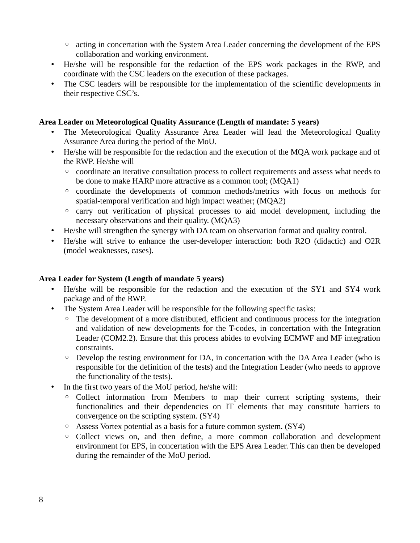- acting in concertation with the System Area Leader concerning the development of the EPS collaboration and working environment.
- He/she will be responsible for the redaction of the EPS work packages in the RWP, and coordinate with the CSC leaders on the execution of these packages.
- The CSC leaders will be responsible for the implementation of the scientific developments in their respective CSC's.

#### **Area Leader on Meteorological Quality Assurance (Length of mandate: 5 years)**

- The Meteorological Quality Assurance Area Leader will lead the Meteorological Quality Assurance Area during the period of the MoU.
- He/she will be responsible for the redaction and the execution of the MQA work package and of the RWP. He/she will
	- coordinate an iterative consultation process to collect requirements and assess what needs to be done to make HARP more attractive as a common tool; (MQA1)
	- coordinate the developments of common methods/metrics with focus on methods for spatial-temporal verification and high impact weather; (MQA2)
	- carry out verification of physical processes to aid model development, including the necessary observations and their quality. (MQA3)
- He/she will strengthen the synergy with DA team on observation format and quality control.
- He/she will strive to enhance the user-developer interaction: both R2O (didactic) and O2R (model weaknesses, cases).

#### **Area Leader for System (Length of mandate 5 years)**

- He/she will be responsible for the redaction and the execution of the SY1 and SY4 work package and of the RWP.
- The System Area Leader will be responsible for the following specific tasks:
	- The development of a more distributed, efficient and continuous process for the integration and validation of new developments for the T-codes, in concertation with the Integration Leader (COM2.2). Ensure that this process abides to evolving ECMWF and MF integration constraints.
	- Develop the testing environment for DA, in concertation with the DA Area Leader (who is responsible for the definition of the tests) and the Integration Leader (who needs to approve the functionality of the tests).
- In the first two years of the MoU period, he/she will:
	- Collect information from Members to map their current scripting systems, their functionalities and their dependencies on IT elements that may constitute barriers to convergence on the scripting system. (SY4)
	- Assess Vortex potential as a basis for a future common system. (SY4)
	- Collect views on, and then define, a more common collaboration and development environment for EPS, in concertation with the EPS Area Leader. This can then be developed during the remainder of the MoU period.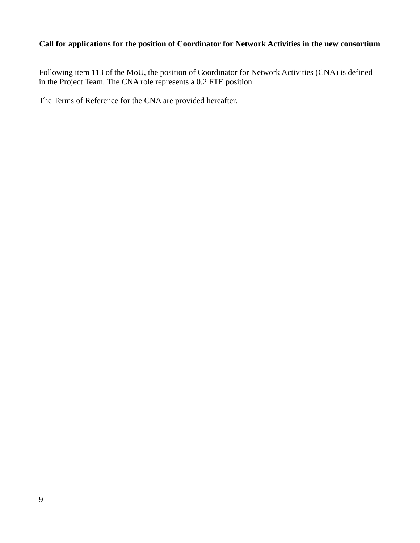# **Call for applications for the position of Coordinator for Network Activities in the new consortium**

Following item 113 of the MoU, the position of Coordinator for Network Activities (CNA) is defined in the Project Team. The CNA role represents a 0.2 FTE position.

The Terms of Reference for the CNA are provided hereafter.